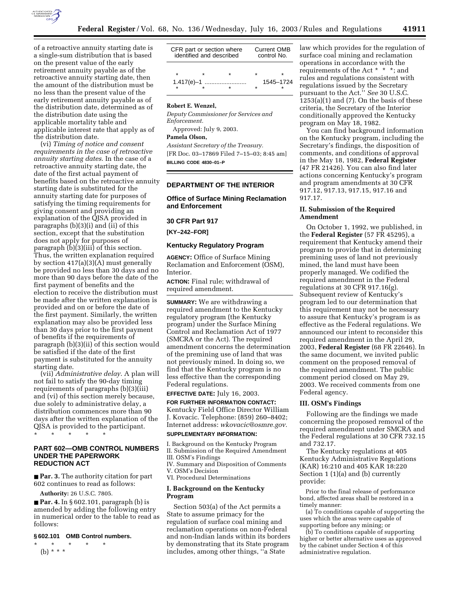

of a retroactive annuity starting date is a single-sum distribution that is based on the present value of the early retirement annuity payable as of the retroactive annuity starting date, then the amount of the distribution must be no less than the present value of the early retirement annuity payable as of the distribution date, determined as of the distribution date using the applicable mortality table and applicable interest rate that apply as of the distribution date.

(vi) *Timing of notice and consent requirements in the case of retroactive annuity starting dates*. In the case of a retroactive annuity starting date, the date of the first actual payment of benefits based on the retroactive annuity starting date is substituted for the annuity starting date for purposes of satisfying the timing requirements for giving consent and providing an explanation of the QJSA provided in paragraphs (b)(3)(i) and (ii) of this section, except that the substitution does not apply for purposes of paragraph (b)(3)(iii) of this section. Thus, the written explanation required by section 417(a)(3)(A) must generally be provided no less than 30 days and no more than 90 days before the date of the first payment of benefits and the election to receive the distribution must be made after the written explanation is provided and on or before the date of the first payment. Similarly, the written explanation may also be provided less than 30 days prior to the first payment of benefits if the requirements of paragraph (b)(3)(ii) of this section would be satisfied if the date of the first payment is substituted for the annuity starting date.

(vii) *Administrative delay*. A plan will not fail to satisfy the 90-day timing requirements of paragraphs (b)(3)(iii) and (vi) of this section merely because, due solely to administrative delay, a distribution commences more than 90 days after the written explanation of the QJSA is provided to the participant.

\* \* \* \* \*

# **PART 602—OMB CONTROL NUMBERS UNDER THE PAPERWORK REDUCTION ACT**

■ **Par. 3.** The authority citation for part 602 continues to read as follows:

**Authority:** 26 U.S.C. 7805.

■ **Par. 4.** In § 602.101, paragraph (b) is amended by adding the following entry in numerical order to the table to read as follows:

#### **§ 602.101 OMB Control numbers.**

\* \* \* \* \* (b) \* \* \*

| CFR part or section where<br>identified and described |   |           | <b>Current OMB</b><br>control No. |   |
|-------------------------------------------------------|---|-----------|-----------------------------------|---|
| $\star$                                               | ÷ |           |                                   | ÷ |
|                                                       |   | 1545-1724 |                                   |   |

#### **Robert E. Wenzel,**

*Deputy Commissioner for Services and Enforcement.* 

Approved: July 9, 2003.

## **Pamela Olson,**

*Assistant Secretary of the Treasury.* [FR Doc. 03–17869 Filed 7–15–03; 8:45 am] **BILLING CODE 4830–01–P**

### **DEPARTMENT OF THE INTERIOR**

# **Office of Surface Mining Reclamation and Enforcement**

#### **30 CFR Part 917**

**[KY–242–FOR]** 

#### **Kentucky Regulatory Program**

**AGENCY:** Office of Surface Mining Reclamation and Enforcement (OSM), Interior.

**ACTION:** Final rule; withdrawal of required amendment.

**SUMMARY:** We are withdrawing a required amendment to the Kentucky regulatory program (the Kentucky program) under the Surface Mining Control and Reclamation Act of 1977 (SMCRA or the Act). The required amendment concerns the determination of the premining use of land that was not previously mined. In doing so, we find that the Kentucky program is no less effective than the corresponding Federal regulations.

**EFFECTIVE DATE:** July 16, 2003.

**FOR FURTHER INFORMATION CONTACT:** Kentucky Field Office Director William J. Kovacic. Telephone: (859) 260–8402; Internet address: *wkovacic@osmre.gov.* **SUPPLEMENTARY INFORMATION:**

I. Background on the Kentucky Program II. Submission of the Required Amendment III. OSM's Findings IV. Summary and Disposition of Comments

V. OSM's Decision VI. Procedural Determinations

#### **I. Background on the Kentucky Program**

Section 503(a) of the Act permits a State to assume primacy for the regulation of surface coal mining and reclamation operations on non-Federal and non-Indian lands within its borders by demonstrating that its State program includes, among other things, ''a State

law which provides for the regulation of surface coal mining and reclamation operations in accordance with the requirements of the Act \* \* \*; and rules and regulations consistent with regulations issued by the Secretary pursuant to the Act.'' *See* 30 U.S.C.  $1253(a)(1)$  and  $(7)$ . On the basis of these criteria, the Secretary of the Interior conditionally approved the Kentucky program on May 18, 1982.

You can find background information on the Kentucky program, including the Secretary's findings, the disposition of comments, and conditions of approval in the May 18, 1982, **Federal Register** (47 FR 21426). You can also find later actions concerning Kentucky's program and program amendments at 30 CFR 917.12, 917.13, 917.15, 917.16 and 917.17.

# **II. Submission of the Required Amendment**

On October 1, 1992, we published, in the **Federal Register** (57 FR 45295), a requirement that Kentucky amend their program to provide that in determining premining uses of land not previously mined, the land must have been properly managed. We codified the required amendment in the Federal regulations at 30 CFR 917.16(g). Subsequent review of Kentucky's program led to our determination that this requirement may not be necessary to assure that Kentucky's program is as effective as the Federal regulations. We announced our intent to reconsider this required amendment in the April 29, 2003, **Federal Register** (68 FR 22646). In the same document, we invited public comment on the proposed removal of the required amendment. The public comment period closed on May 29, 2003. We received comments from one Federal agency.

### **III. OSM's Findings**

Following are the findings we made concerning the proposed removal of the required amendment under SMCRA and the Federal regulations at 30 CFR 732.15 and 732.17.

The Kentucky regulations at 405 Kentucky Administrative Regulations (KAR) 16:210 and 405 KAR 18:220 Section 1 (1)(a) and (b) currently provide:

Prior to the final release of performance bond, affected areas shall be restored in a timely manner:

(a) To conditions capable of supporting the uses which the areas were capable of supporting before any mining; or

(b) To conditions capable of supporting higher or better alternative uses as approved by the cabinet under Section 4 of this administrative regulation.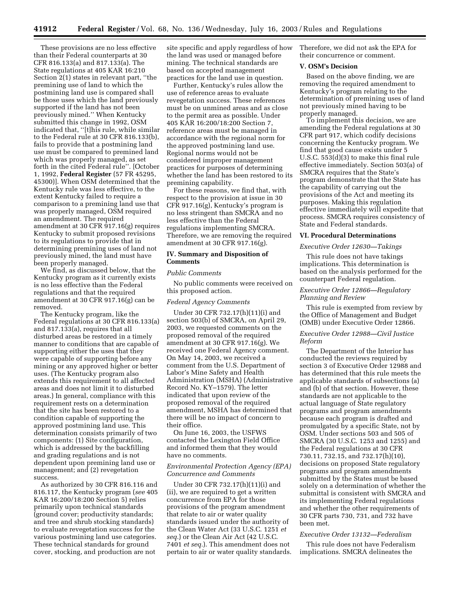These provisions are no less effective than their Federal counterparts at 30 CFR 816.133(a) and 817.133(a). The State regulations at 405 KAR 16:210 Section 2(1) states in relevant part, "the premining use of land to which the postmining land use is compared shall be those uses which the land previously supported if the land has not been previously mined.'' When Kentucky submitted this change in 1992, OSM indicated that, ''[t]his rule, while similar to the Federal rule at 30 CFR 816.133(b), fails to provide that a postmining land use must be compared to premined land which was properly managed, as set forth in the cited Federal rule''. [October 1, 1992, **Federal Register** (57 FR 45295, 45300)]. When OSM determined that the Kentucky rule was less effective, to the extent Kentucky failed to require a comparison to a premining land use that was properly managed, OSM required an amendment. The required amendment at 30 CFR 917.16(g) requires Kentucky to submit proposed revisions to its regulations to provide that in determining premining uses of land not previously mined, the land must have been properly managed.

We find, as discussed below, that the Kentucky program as it currently exists is no less effective than the Federal regulations and that the required amendment at 30 CFR 917.16(g) can be removed.

The Kentucky program, like the Federal regulations at 30 CFR 816.133(a) and 817.133(a), requires that all disturbed areas be restored in a timely manner to conditions that are capable of supporting either the uses that they were capable of supporting before any mining or any approved higher or better uses. (The Kentucky program also extends this requirement to all affected areas and does not limit it to disturbed areas.) In general, compliance with this requirement rests on a determination that the site has been restored to a condition capable of supporting the approved postmining land use. This determination consists primarily of two components: (1) Site configuration, which is addressed by the backfilling and grading regulations and is not dependent upon premining land use or management; and (2) revegetation success.

As authorized by 30 CFR 816.116 and 816.117, the Kentucky program (*see* 405 KAR 16:200/18:200 Section 5) relies primarily upon technical standards (ground cover; productivity standards; and tree and shrub stocking standards) to evaluate revegetation success for the various postmining land use categories. These technical standards for ground cover, stocking, and production are not

site specific and apply regardless of how the land was used or managed before mining. The technical standards are based on accepted management practices for the land use in question.

Further, Kentucky's rules allow the use of reference areas to evaluate revegetation success. These references must be on unmined areas and as close to the permit area as possible. Under 405 KAR 16:200/18:200 Section 7, reference areas must be managed in accordance with the regional norm for the approved postmining land use. Regional norms would not be considered improper management practices for purposes of determining whether the land has been restored to its premining capability.

For these reasons, we find that, with respect to the provision at issue in 30 CFR 917.16(g), Kentucky's program is no less stringent than SMCRA and no less effective than the Federal regulations implementing SMCRA. Therefore, we are removing the required amendment at 30 CFR 917.16(g).

## **IV. Summary and Disposition of Comments**

#### *Public Comments*

No public comments were received on this proposed action.

#### *Federal Agency Comments*

Under 30 CFR 732.17(h)(11)(i) and section 503(b) of SMCRA, on April 29, 2003, we requested comments on the proposed removal of the required amendment at 30 CFR 917.16(g). We received one Federal Agency comment. On May 14, 2003, we received a comment from the U.S. Department of Labor's Mine Safety and Health Administration (MSHA) (Administrative Record No. KY–1579). The letter indicated that upon review of the proposed removal of the required amendment, MSHA has determined that there will be no impact of concern to their office.

On June 16, 2003, the USFWS contacted the Lexington Field Office and informed them that they would have no comments.

## *Environmental Protection Agency (EPA) Concurrence and Comments*

Under 30 CFR 732.17(h)(11)(i) and (ii), we are required to get a written concurrence from EPA for those provisions of the program amendment that relate to air or water quality standards issued under the authority of the Clean Water Act (33 U.S.C. 1251 *et seq.*) or the Clean Air Act (42 U.S.C. 7401 *et seq.*). This amendment does not pertain to air or water quality standards. Therefore, we did not ask the EPA for their concurrence or comment.

## **V. OSM's Decision**

Based on the above finding, we are removing the required amendment to Kentucky's program relating to the determination of premining uses of land not previously mined having to be properly managed.

To implement this decision, we are amending the Federal regulations at 30 CFR part 917, which codify decisions concerning the Kentucky program. We find that good cause exists under 5 U.S.C. 553(d)(3) to make this final rule effective immediately. Section 503(a) of SMCRA requires that the State's program demonstrate that the State has the capability of carrying out the provisions of the Act and meeting its purposes. Making this regulation effective immediately will expedite that process. SMCRA requires consistency of State and Federal standards.

### **VI. Procedural Determinations**

#### *Executive Order 12630—Takings*

This rule does not have takings implications. This determination is based on the analysis performed for the counterpart Federal regulation.

## *Executive Order 12866—Regulatory Planning and Review*

This rule is exempted from review by the Office of Management and Budget (OMB) under Executive Order 12866.

## *Executive Order 12988—Civil Justice Reform*

The Department of the Interior has conducted the reviews required by section 3 of Executive Order 12988 and has determined that this rule meets the applicable standards of subsections (a) and (b) of that section. However, these standards are not applicable to the actual language of State regulatory programs and program amendments because each program is drafted and promulgated by a specific State, not by OSM. Under sections 503 and 505 of SMCRA (30 U.S.C. 1253 and 1255) and the Federal regulations at 30 CFR 730.11, 732.15, and 732.17(h)(10), decisions on proposed State regulatory programs and program amendments submitted by the States must be based solely on a determination of whether the submittal is consistent with SMCRA and its implementing Federal regulations and whether the other requirements of 30 CFR parts 730, 731, and 732 have been met.

#### *Executive Order 13132—Federalism*

This rule does not have Federalism implications. SMCRA delineates the